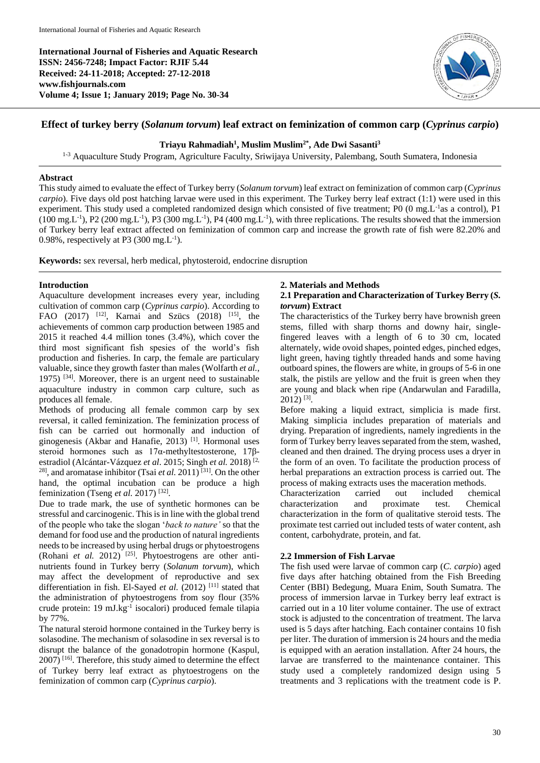**International Journal of Fisheries and Aquatic Research ISSN: 2456-7248; Impact Factor: RJIF 5.44 Received: 24-11-2018; Accepted: 27-12-2018 www.fishjournals.com Volume 4; Issue 1; January 2019; Page No. 30-34**



# **Effect of turkey berry (***Solanum torvum***) leaf extract on feminization of common carp (***Cyprinus carpio***)**

## **Triayu Rahmadiah<sup>1</sup> , Muslim Muslim2\* , Ade Dwi Sasanti<sup>3</sup>**

<sup>1-3</sup> Aquaculture Study Program, Agriculture Faculty, Sriwijaya University, Palembang, South Sumatera, Indonesia

## **Abstract**

This study aimed to evaluate the effect of Turkey berry (*Solanum torvum*) leaf extract on feminization of common carp (*Cyprinus carpio*). Five days old post hatching larvae were used in this experiment. The Turkey berry leaf extract (1:1) were used in this experiment. This study used a completed randomized design which consisted of five treatment; P0 (0 mg.L<sup>-1</sup>as a control), P1  $(100 \text{ mg.L}^{-1})$ , P2  $(200 \text{ mg.L}^{-1})$ , P3  $(300 \text{ mg.L}^{-1})$ , P4  $(400 \text{ mg.L}^{-1})$ , with three replications. The results showed that the immersion of Turkey berry leaf extract affected on feminization of common carp and increase the growth rate of fish were 82.20% and 0.98%, respectively at P3  $(300 \text{ mg} \cdot L^{-1})$ .

**Keywords:** sex reversal, herb medical, phytosteroid, endocrine disruption

## **Introduction**

Aquaculture development increases every year, including cultivation of common carp (*Cyprinus carpio*). According to FAO (2017) <sup>[12]</sup>, Karnai and Szücs (2018) <sup>[15]</sup>, the achievements of common carp production between 1985 and 2015 it reached 4.4 million tones (3.4%), which cover the third most significant fish spesies of the world's fish production and fisheries. In carp, the female are particulary valuable, since they growth faster than males (Wolfarth *et al.*, 1975)  $[34]$ . Moreover, there is an urgent need to sustainable aquaculture industry in common carp culture, such as produces all female.

Methods of producing all female common carp by sex reversal, it called feminization. The feminization process of fish can be carried out hormonally and induction of ginogenesis (Akbar and Hanafie, 2013)<sup>[1]</sup>. Hormonal uses steroid hormones such as 17α-methyltestosterone, 17βestradiol (Alcántar-Vázquez *et al*. 2015; Singh *et al.* 2018) [2, <sup>28]</sup>, and aromatase inhibitor (Tsai *et al.* 2011)<sup>[31]</sup>. On the other hand, the optimal incubation can be produce a high feminization (Tseng *et al.* 2017)<sup>[32]</sup>.

Due to trade mark, the use of synthetic hormones can be stressful and carcinogenic. This is in line with the global trend of the people who take the slogan '*back to nature'* so that the demand for food use and the production of natural ingredients needs to be increased by using herbal drugs or phytoestrogens (Rohani *et al.* 2012) <sup>[25]</sup>. Phytoestrogens are other antinutrients found in Turkey berry (*Solanum torvum*), which may affect the development of reproductive and sex differentiation in fish. El-Sayed *et al.* (2012)<sup>[11]</sup> stated that the administration of phytoestrogens from soy flour (35% crude protein: 19 mJ.kg<sup>-1</sup> isocalori) produced female tilapia by 77%.

The natural steroid hormone contained in the Turkey berry is solasodine. The mechanism of solasodine in sex reversal is to disrupt the balance of the gonadotropin hormone (Kaspul,  $2007$ ) [16]. Therefore, this study aimed to determine the effect of Turkey berry leaf extract as phytoestrogens on the feminization of common carp (*Cyprinus carpio*).

# **2. Materials and Methods**

## **2.1 Preparation and Characterization of Turkey Berry (***S. torvum***) Extract**

The characteristics of the Turkey berry have brownish green stems, filled with sharp thorns and downy hair, singlefingered leaves with a length of 6 to 30 cm, located alternately, wide ovoid shapes, pointed edges, pinched edges, light green, having tightly threaded hands and some having outboard spines, the flowers are white, in groups of 5-6 in one stalk, the pistils are yellow and the fruit is green when they are young and black when ripe (Andarwulan and Faradilla, 2012) [3] .

Before making a liquid extract, simplicia is made first. Making simplicia includes preparation of materials and drying. Preparation of ingredients, namely ingredients in the form of Turkey berry leaves separated from the stem, washed, cleaned and then drained. The drying process uses a dryer in the form of an oven. To facilitate the production process of herbal preparations an extraction process is carried out. The process of making extracts uses the maceration methods.

Characterization carried out included chemical characterization and proximate test. Chemical characterization in the form of qualitative steroid tests. The proximate test carried out included tests of water content, ash content, carbohydrate, protein, and fat.

## **2.2 Immersion of Fish Larvae**

The fish used were larvae of common carp (*C. carpio*) aged five days after hatching obtained from the Fish Breeding Center (BBI) Bedegung, Muara Enim, South Sumatra. The process of immersion larvae in Turkey berry leaf extract is carried out in a 10 liter volume container. The use of extract stock is adjusted to the concentration of treatment. The larva used is 5 days after hatching. Each container contains 10 fish per liter. The duration of immersion is 24 hours and the media is equipped with an aeration installation. After 24 hours, the larvae are transferred to the maintenance container. This study used a completely randomized design using 5 treatments and 3 replications with the treatment code is P.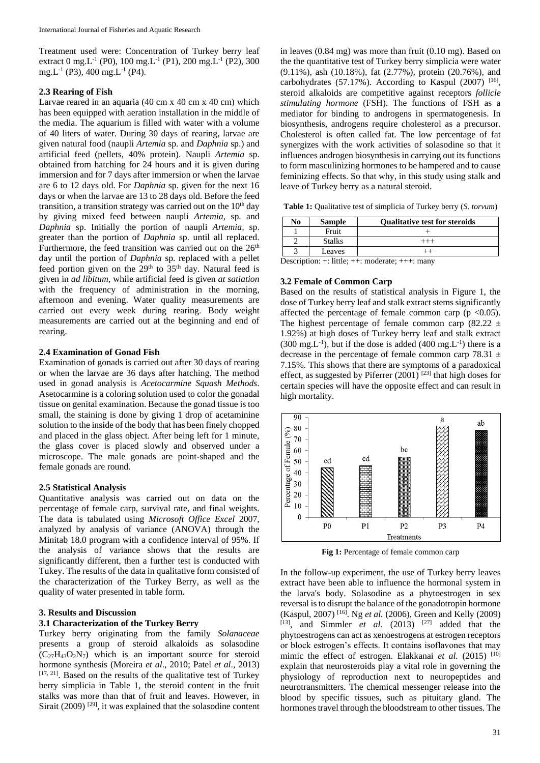Treatment used were: Concentration of Turkey berry leaf extract 0 mg.L<sup>-1</sup> (P0), 100 mg.L<sup>-1</sup> (P1), 200 mg.L<sup>-1</sup> (P2), 300 mg.L<sup>-1</sup> (P3), 400 mg.L<sup>-1</sup> (P4).

#### **2.3 Rearing of Fish**

Larvae reared in an aquaria (40 cm x 40 cm x 40 cm) which has been equipped with aeration installation in the middle of the media. The aquarium is filled with water with a volume of 40 liters of water. During 30 days of rearing, larvae are given natural food (naupli *Artemia* sp. and *Daphnia* sp.) and artificial feed (pellets, 40% protein). Naupli *Artemia* sp. obtained from hatching for 24 hours and it is given during immersion and for 7 days after immersion or when the larvae are 6 to 12 days old. For *Daphnia* sp. given for the next 16 days or when the larvae are 13 to 28 days old. Before the feed transition, a transition strategy was carried out on the  $10<sup>th</sup>$  day by giving mixed feed between naupli *Artemia,* sp. and *Daphnia* sp. Initially the portion of naupli *Artemia,* sp. greater than the portion of *Daphnia* sp. until all replaced. Furthermore, the feed transition was carried out on the  $26<sup>th</sup>$ day until the portion of *Daphnia* sp. replaced with a pellet feed portion given on the  $29<sup>th</sup>$  to  $35<sup>th</sup>$  day. Natural feed is given in *ad libitum*, while artificial feed is given *at satiation*  with the frequency of administration in the morning, afternoon and evening. Water quality measurements are carried out every week during rearing. Body weight measurements are carried out at the beginning and end of rearing.

## **2.4 Examination of Gonad Fish**

Examination of gonads is carried out after 30 days of rearing or when the larvae are 36 days after hatching. The method used in gonad analysis is *Acetocarmine Squash Methods*. Asetocarmine is a coloring solution used to color the gonadal tissue on genital examination. Because the gonad tissue is too small, the staining is done by giving 1 drop of acetaminine solution to the inside of the body that has been finely chopped and placed in the glass object. After being left for 1 minute, the glass cover is placed slowly and observed under a microscope. The male gonads are point-shaped and the female gonads are round.

#### **2.5 Statistical Analysis**

Quantitative analysis was carried out on data on the percentage of female carp, survival rate, and final weights. The data is tabulated using *Microsoft Office Excel* 2007, analyzed by analysis of variance (ANOVA) through the Minitab 18.0 program with a confidence interval of 95%. If the analysis of variance shows that the results are significantly different, then a further test is conducted with Tukey. The results of the data in qualitative form consisted of the characterization of the Turkey Berry, as well as the quality of water presented in table form.

## **3. Results and Discussion**

# **3.1 Characterization of the Turkey Berry**

Turkey berry originating from the family *Solanaceae*  presents a group of steroid alkaloids as solasodine  $(C_{27}H_{43}O_2N_7)$  which is an important source for steroid hormone synthesis (Moreira *et al*., 2010; Patel *et al*., 2013)  $[17, 21]$ . Based on the results of the qualitative test of Turkey berry simplicia in Table 1, the steroid content in the fruit stalks was more than that of fruit and leaves. However, in Sirait (2009)  $[29]$ , it was explained that the solasodine content

in leaves (0.84 mg) was more than fruit (0.10 mg). Based on the the quantitative test of Turkey berry simplicia were water (9.11%), ash (10.18%), fat (2.77%), protein (20.76%), and carbohydrates (57.17%). According to Kaspul (2007) [16], steroid alkaloids are competitive against receptors *follicle stimulating hormone* (FSH). The functions of FSH as a mediator for binding to androgens in spermatogenesis. In biosynthesis, androgens require cholesterol as a precursor. Cholesterol is often called fat. The low percentage of fat synergizes with the work activities of solasodine so that it influences androgen biosynthesis in carrying out its functions to form masculinizing hormones to be hampered and to cause feminizing effects. So that why, in this study using stalk and leave of Turkey berry as a natural steroid.

**Table 1:** Qualitative test of simplicia of Turkey berry (*S. torvum*)

| No            | <b>Sample</b> | <b>Qualitative test for steroids</b> |  |  |  |
|---------------|---------------|--------------------------------------|--|--|--|
|               | Fruit         |                                      |  |  |  |
|               | <b>Stalks</b> |                                      |  |  |  |
|               | Leaves        |                                      |  |  |  |
| $\sim$ $\sim$ | -- -          |                                      |  |  |  |

Description: +: little; ++: moderate; +++: many

#### **3.2 Female of Common Carp**

Based on the results of statistical analysis in Figure 1, the dose of Turkey berry leaf and stalk extract stems significantly affected the percentage of female common carp ( $p \le 0.05$ ). The highest percentage of female common carp  $(82.22 \pm 1)$ 1.92%) at high doses of Turkey berry leaf and stalk extract  $(300 \text{ mg.L}^{-1})$ , but if the dose is added  $(400 \text{ mg.L}^{-1})$  there is a decrease in the percentage of female common carp 78.31  $\pm$ 7.15%. This shows that there are symptoms of a paradoxical effect, as suggested by Piferrer  $(2001)^{[23]}$  that high doses for certain species will have the opposite effect and can result in high mortality.



**Fig 1:** Percentage of female common carp

In the follow-up experiment, the use of Turkey berry leaves extract have been able to influence the hormonal system in the larva's body. Solasodine as a phytoestrogen in sex reversal is to disrupt the balance of the gonadotropin hormone (Kaspul, 2007) [16] . Ng *et al.* (2006), Green and Kelly (2009)  $[13]$ , and Simmler *et al.*  $(2013)$   $[27]$  added that the phytoestrogens can act as xenoestrogens at estrogen receptors or block estrogen's effects. It contains isoflavones that may mimic the effect of estrogen. Elakkanai et al. (2015) <sup>[10]</sup> explain that neurosteroids play a vital role in governing the physiology of reproduction next to neuropeptides and neurotransmitters. The chemical messenger release into the blood by specific tissues, such as pituitary gland. The hormones travel through the bloodstream to other tissues. The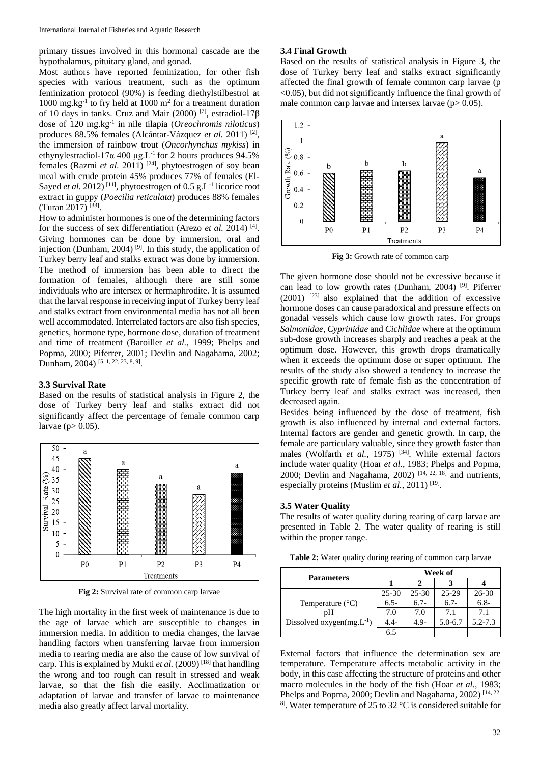primary tissues involved in this hormonal cascade are the hypothalamus, pituitary gland, and gonad.

Most authors have reported feminization, for other fish species with various treatment, such as the optimum feminization protocol (90%) is feeding diethylstilbestrol at 1000 mg.kg<sup>-1</sup> to fry held at 1000 m<sup>2</sup> for a treatment duration of 10 days in tanks. Cruz and Mair (2000) [7], estradiol-17β dose of 120 mg.kg-1 in nile tilapia (*Oreochromis niloticus*) produces 88.5% females (Alcántar-Vázquez et al. 2011)<sup>[2]</sup>, the immersion of rainbow trout (*Oncorhynchus mykiss*) in ethynylestradiol-17α 400 μg.L<sup>-1</sup> for 2 hours produces 94.5% females (Razmi *et al.* 2011)<sup>[24]</sup>, phytoestrogen of soy bean meal with crude protein 45% produces 77% of females (El-Sayed et al. 2012)<sup>[11]</sup>, phytoestrogen of 0.5 g.L<sup>-1</sup> licorice root extract in guppy (*Poecilia reticulata*) produces 88% females (Turan 2017) [33] .

How to administer hormones is one of the determining factors for the success of sex differentiation (Arezo *et al.* 2014)<sup>[4]</sup>. Giving hormones can be done by immersion, oral and injection (Dunham, 2004)  $[9]$ . In this study, the application of Turkey berry leaf and stalks extract was done by immersion. The method of immersion has been able to direct the formation of females, although there are still some individuals who are intersex or hermaphrodite. It is assumed that the larval response in receiving input of Turkey berry leaf and stalks extract from environmental media has not all been well accommodated. Interrelated factors are also fish species, genetics, hormone type, hormone dose, duration of treatment and time of treatment (Baroiller *et al.*, 1999; Phelps and Popma, 2000; Piferrer, 2001; Devlin and Nagahama, 2002; Dunham, 2004)<sup>[5, 1, 22, 23, 8, 9]</sup>.

#### **3.3 Survival Rate**

Based on the results of statistical analysis in Figure 2, the dose of Turkey berry leaf and stalks extract did not significantly affect the percentage of female common carp larvae (p $> 0.05$ ).



**Fig 2:** Survival rate of common carp larvae

The high mortality in the first week of maintenance is due to the age of larvae which are susceptible to changes in immersion media. In addition to media changes, the larvae handling factors when transferring larvae from immersion media to rearing media are also the cause of low survival of carp. This is explained by Mukti *et al.* (2009) [18] that handling the wrong and too rough can result in stressed and weak larvae, so that the fish die easily. Acclimatization or adaptation of larvae and transfer of larvae to maintenance media also greatly affect larval mortality.

#### **3.4 Final Growth**

Based on the results of statistical analysis in Figure 3, the dose of Turkey berry leaf and stalks extract significantly affected the final growth of female common carp larvae (p <0.05), but did not significantly influence the final growth of male common carp larvae and intersex larvae  $(p > 0.05)$ .



**Fig 3:** Growth rate of common carp

The given hormone dose should not be excessive because it can lead to low growth rates (Dunham, 2004)<sup>[9]</sup>. Piferrer  $(2001)$  <sup>[23]</sup> also explained that the addition of excessive hormone doses can cause paradoxical and pressure effects on gonadal vessels which cause low growth rates. For groups *Salmonidae*, *Cyprinidae* and *Cichlidae* where at the optimum sub-dose growth increases sharply and reaches a peak at the optimum dose. However, this growth drops dramatically when it exceeds the optimum dose or super optimum. The results of the study also showed a tendency to increase the specific growth rate of female fish as the concentration of Turkey berry leaf and stalks extract was increased, then decreased again.

Besides being influenced by the dose of treatment, fish growth is also influenced by internal and external factors. Internal factors are gender and genetic growth. In carp, the female are particulary valuable, since they growth faster than males (Wolfarth *et al.,* 1975)<sup>[34]</sup>. While external factors include water quality (Hoar *et al.,* 1983; Phelps and Popma, 2000; Devlin and Nagahama, 2002)  $[14, 22, 18]$  and nutrients, especially proteins (Muslim *et al.*, 2011)<sup>[19]</sup>.

#### **3.5 Water Quality**

The results of water quality during rearing of carp larvae are presented in Table 2. The water quality of rearing is still within the proper range.

**Table 2:** Water quality during rearing of common carp larvae

| <b>Parameters</b>               | Week of   |           |             |             |
|---------------------------------|-----------|-----------|-------------|-------------|
|                                 |           |           |             |             |
|                                 | $25 - 30$ | $25 - 30$ | $25 - 29$   | 26-30       |
| Temperature $(^{\circ}C)$       | $6.5-$    | $6.7-$    | $6.7-$      | $6.8-$      |
| pΗ                              | 7.0       | 7.0       | 71          | 7.1         |
| Dissolved oxygen(mg. $L^{-1}$ ) | 4.4-      | $4.9-$    | $5.0 - 6.7$ | $5.2 - 7.3$ |
|                                 | 6.5       |           |             |             |

External factors that influence the determination sex are temperature. Temperature affects metabolic activity in the body, in this case affecting the structure of proteins and other macro molecules in the body of the fish (Hoar *et al.,* 1983; Phelps and Popma, 2000; Devlin and Nagahama, 2002)<sup>[14, 22,</sup> <sup>8]</sup>. Water temperature of 25 to 32  $\mathrm{^{\circ}C}$  is considered suitable for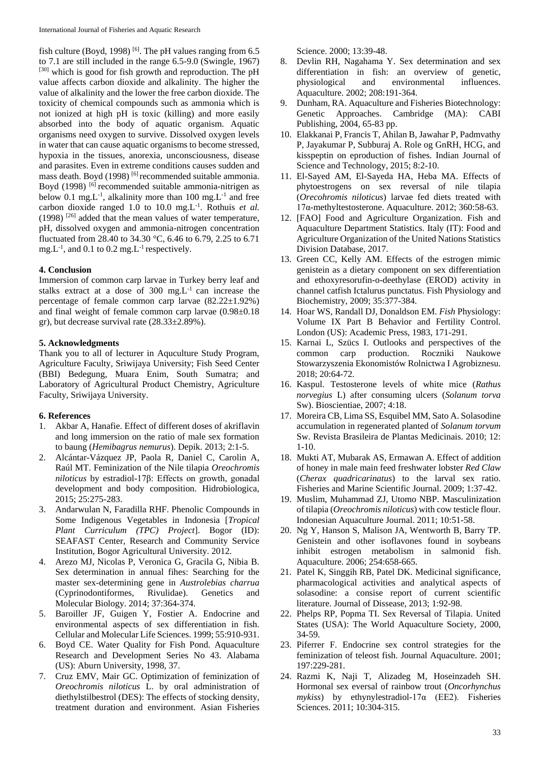fish culture (Boyd, 1998) <sup>[6]</sup>. The pH values ranging from  $6.5$ to 7.1 are still included in the range 6.5-9.0 (Swingle, 1967) [30] which is good for fish growth and reproduction. The pH value affects carbon dioxide and alkalinity. The higher the value of alkalinity and the lower the free carbon dioxide. The toxicity of chemical compounds such as ammonia which is not ionized at high pH is toxic (killing) and more easily absorbed into the body of aquatic organism. Aquatic organisms need oxygen to survive. Dissolved oxygen levels in water that can cause aquatic organisms to become stressed, hypoxia in the tissues, anorexia, unconsciousness, disease and parasites. Even in extreme conditions causes sudden and mass death. Boyd (1998) [6] recommended suitable ammonia. Boyd (1998) <sup>[6]</sup> recommended suitable ammonia-nitrigen as below 0.1 mg.L<sup>-1</sup>, alkalinity more than 100 mg.L<sup>-1</sup> and free carbon dioxide ranged 1.0 to 10.0 mg.L<sup>-1</sup>. Rothuis *et al.* (1998) [26] added that the mean values of water temperature, pH, dissolved oxygen and ammonia-nitrogen concentration fluctuated from 28.40 to 34.30 °C, 6.46 to 6.79, 2.25 to 6.71 mg. $L^{-1}$ , and 0.1 to 0.2 mg. $L^{-1}$  respectively.

## **4. Conclusion**

Immersion of common carp larvae in Turkey berry leaf and stalks extract at a dose of  $300 \text{ mg}$ . L<sup>-1</sup> can increase the percentage of female common carp larvae (82.22±1.92%) and final weight of female common carp larvae (0.98±0.18 gr), but decrease survival rate (28.33±2.89%).

## **5. Acknowledgments**

Thank you to all of lecturer in Aquculture Study Program, Agriculture Faculty, Sriwijaya University; Fish Seed Center (BBI) Bedegung, Muara Enim, South Sumatra; and Laboratory of Agricultural Product Chemistry, Agriculture Faculty, Sriwijaya University.

## **6. References**

- 1. Akbar A, Hanafie. Effect of different doses of akriflavin and long immersion on the ratio of male sex formation to baung (*Hemibagrus nemurus*). Depik. 2013; 2:1-5.
- 2. Alcántar-Vázquez JP, Paola R, Daniel C, Carolin A, Raúl MT. Feminization of the Nile tilapia *Oreochromis niloticus* by estradiol-17β: Effects on growth, gonadal development and body composition. Hidrobiologica, 2015; 25:275-283.
- 3. Andarwulan N, Faradilla RHF. Phenolic Compounds in Some Indigenous Vegetables in Indonesia [*Tropical Plant Curriculum (TPC) Project*]. Bogor (ID): SEAFAST Center, Research and Community Service Institution, Bogor Agricultural University. 2012.
- 4. Arezo MJ, Nicolas P, Veronica G, Gracila G, Nibia B. Sex determination in annual fihes: Searching for the master sex-determining gene in *Austrolebias charrua*  (Cyprinodontiformes, Rivulidae). Genetics and Molecular Biology. 2014; 37:364-374.
- 5. Baroiller JF, Guigen Y, Fostier A. Endocrine and environmental aspects of sex differentiation in fish. Cellular and Molecular Life Sciences. 1999; 55:910-931.
- 6. Boyd CE. Water Quality for Fish Pond. Aquaculture Research and Development Series No 43. Alabama (US): Aburn University, 1998, 37.
- 7. Cruz EMV, Mair GC. Optimization of feminization of *Oreochromis niloticus* L. by oral administration of diethylstilbestrol (DES): The effects of stocking density, treatment duration and environment. Asian Fisheries

Science. 2000; 13:39-48.

- 8. Devlin RH, Nagahama Y. Sex determination and sex differentiation in fish: an overview of genetic, physiological and environmental influences. Aquaculture. 2002; 208:191-364.
- 9. Dunham, RA. Aquaculture and Fisheries Biotechnology: Genetic Approaches. Cambridge (MA): CABI Publishing, 2004, 65-83 pp.
- 10. Elakkanai P, Francis T, Ahilan B, Jawahar P, Padmvathy P, Jayakumar P, Subburaj A. Role og GnRH, HCG, and kisspeptin on eproduction of fishes. Indian Journal of Science and Technology, 2015; 8:2-10.
- 11. El-Sayed AM, El-Sayeda HA, Heba MA. Effects of phytoestrogens on sex reversal of nile tilapia (*Orecohromis niloticus*) larvae fed diets treated with 17α-methyltestosterone. Aquaculture. 2012; 360:58-63.
- 12. [FAO] Food and Agriculture Organization. Fish and Aquaculture Department Statistics. Italy (IT): Food and Agriculture Organization of the United Nations Statistics Division Database, 2017.
- 13. Green CC, Kelly AM. Effects of the estrogen mimic genistein as a dietary component on sex differentiation and ethoxyresorufin-o-deethylase (EROD) activity in channel catfish Ictalurus punctatus. Fish Physiology and Biochemistry, 2009; 35:377-384.
- 14. Hoar WS, Randall DJ, Donaldson EM. *Fish* Physiology: Volume IX Part B Behavior and Fertility Control. London (US): Academic Press, 1983, 171-291.
- 15. Karnai L, Szücs I. Outlooks and perspectives of the common carp production. Roczniki Naukowe Stowarzyszenia Ekonomistów Rolnictwa I Agrobiznesu. 2018; 20:64-72.
- 16. Kaspul. Testosterone levels of white mice (*Rathus norvegius* L) after consuming ulcers (*Solanum torva*  Sw). Bioscientiae, 2007; 4:18.
- 17. Moreira CB, Lima SS, Esquibel MM, Sato A. Solasodine accumulation in regenerated planted of *Solanum torvum* Sw. Revista Brasileira de Plantas Medicinais. 2010; 12: 1-10.
- 18. Mukti AT, Mubarak AS, Ermawan A. Effect of addition of honey in male main feed freshwater lobster *Red Claw*  (*Cherax quadricarinatus*) to the larval sex ratio. Fisheries and Marine Scientific Journal. 2009; 1:37-42.
- 19. Muslim, Muhammad ZJ, Utomo NBP. Masculinization of tilapia (*Oreochromis niloticus*) with cow testicle flour. Indonesian Aquaculture Journal. 2011; 10:51-58.
- 20. Ng Y, Hanson S, Malison JA, Wentworth B, Barry TP. Genistein and other isoflavones found in soybeans inhibit estrogen metabolism in salmonid fish. Aquaculture. 2006; 254:658-665.
- 21. Patel K, Singgih RB, Patel DK. Medicinal significance, pharmacological activities and analytical aspects of solasodine: a consise report of current scientific literature. Journal of Dissease, 2013; 1:92-98.
- 22. Phelps RP, Popma TI. Sex Reversal of Tilapia. United States (USA): The World Aquaculture Society, 2000, 34-59.
- 23. Piferrer F. Endocrine sex control strategies for the feminization of teleost fish. Journal Aquaculture*.* 2001; 197:229-281.
- 24. Razmi K, Naji T, Alizadeg M, Hoseinzadeh SH. Hormonal sex eversal of rainbow trout (*Oncorhynchus mykiss*) by ethynylestradiol-17α (EE2). Fisheries Sciences. 2011; 10:304-315.